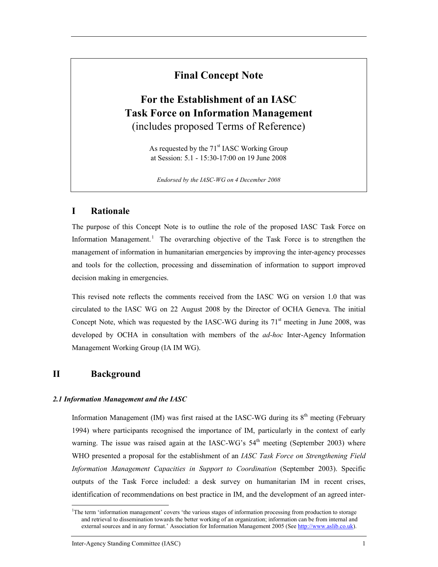## Final Concept Note

# For the Establishment of an IASC Task Force on Information Management (includes proposed Terms of Reference)

As requested by the 71<sup>st</sup> IASC Working Group at Session: 5.1 - 15:30-17:00 on 19 June 2008

Endorsed by the IASC-WG on 4 December 2008

## I Rationale

The purpose of this Concept Note is to outline the role of the proposed IASC Task Force on Information Management.<sup>1</sup> The overarching objective of the Task Force is to strengthen the management of information in humanitarian emergencies by improving the inter-agency processes and tools for the collection, processing and dissemination of information to support improved decision making in emergencies.

This revised note reflects the comments received from the IASC WG on version 1.0 that was circulated to the IASC WG on 22 August 2008 by the Director of OCHA Geneva. The initial Concept Note, which was requested by the IASC-WG during its  $71<sup>st</sup>$  meeting in June 2008, was developed by OCHA in consultation with members of the *ad-hoc* Inter-Agency Information Management Working Group (IA IM WG).

## II Background

-

### 2.1 Information Management and the IASC

Information Management (IM) was first raised at the IASC-WG during its  $8<sup>th</sup>$  meeting (February 1994) where participants recognised the importance of IM, particularly in the context of early warning. The issue was raised again at the IASC-WG's  $54<sup>th</sup>$  meeting (September 2003) where WHO presented a proposal for the establishment of an IASC Task Force on Strengthening Field Information Management Capacities in Support to Coordination (September 2003). Specific outputs of the Task Force included: a desk survey on humanitarian IM in recent crises, identification of recommendations on best practice in IM, and the development of an agreed inter-

<sup>&</sup>lt;sup>1</sup>The term 'information management' covers 'the various stages of information processing from production to storage and retrieval to dissemination towards the better working of an organization; information can be from internal and external sources and in any format.' Association for Information Management 2005 (See http://www.aslib.co.uk).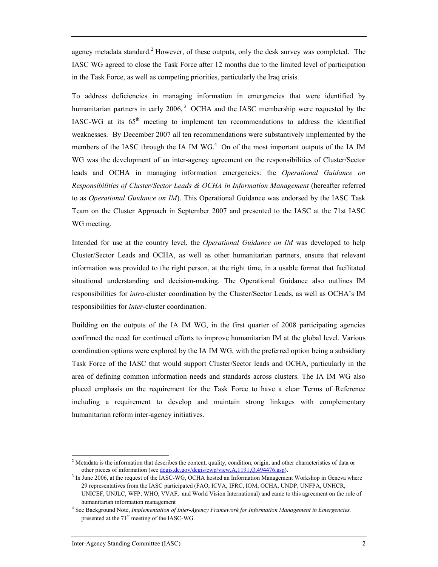agency metadata standard.<sup>2</sup> However, of these outputs, only the desk survey was completed. The IASC WG agreed to close the Task Force after 12 months due to the limited level of participation in the Task Force, as well as competing priorities, particularly the Iraq crisis.

To address deficiencies in managing information in emergencies that were identified by humanitarian partners in early 2006,<sup>3</sup> OCHA and the IASC membership were requested by the IASC-WG at its  $65<sup>th</sup>$  meeting to implement ten recommendations to address the identified weaknesses. By December 2007 all ten recommendations were substantively implemented by the members of the IASC through the IA IM  $WG<sup>4</sup>$  On of the most important outputs of the IA IM WG was the development of an inter-agency agreement on the responsibilities of Cluster/Sector leads and OCHA in managing information emergencies: the Operational Guidance on Responsibilities of Cluster/Sector Leads & OCHA in Information Management (hereafter referred to as Operational Guidance on IM). This Operational Guidance was endorsed by the IASC Task Team on the Cluster Approach in September 2007 and presented to the IASC at the 71st IASC WG meeting.

Intended for use at the country level, the *Operational Guidance on IM* was developed to help Cluster/Sector Leads and OCHA, as well as other humanitarian partners, ensure that relevant information was provided to the right person, at the right time, in a usable format that facilitated situational understanding and decision-making. The Operational Guidance also outlines IM responsibilities for intra-cluster coordination by the Cluster/Sector Leads, as well as OCHA's IM responsibilities for inter-cluster coordination.

Building on the outputs of the IA IM WG, in the first quarter of 2008 participating agencies confirmed the need for continued efforts to improve humanitarian IM at the global level. Various coordination options were explored by the IA IM WG, with the preferred option being a subsidiary Task Force of the IASC that would support Cluster/Sector leads and OCHA, particularly in the area of defining common information needs and standards across clusters. The IA IM WG also placed emphasis on the requirement for the Task Force to have a clear Terms of Reference including a requirement to develop and maintain strong linkages with complementary humanitarian reform inter-agency initiatives.

-

<sup>&</sup>lt;sup>2</sup> Metadata is the information that describes the content, quality, condition, origin, and other characteristics of data or other pieces of information (see dcgis.dc.gov/dcgis/cwp/view,A,1191,Q,494476.asp).

<sup>&</sup>lt;sup>3</sup> In June 2006, at the request of the IASC-WG, OCHA hosted an Information Management Workshop in Geneva where 29 representatives from the IASC participated (FAO, ICVA, IFRC, IOM, OCHA, UNDP, UNFPA, UNHCR, UNICEF, UNJLC, WFP, WHO, VVAF, and World Vision International) and came to this agreement on the role of humanitarian information management

<sup>&</sup>lt;sup>4</sup> See Background Note, Implementation of Inter-Agency Framework for Information Management in Emergencies, presented at the 71<sup>st</sup> meeting of the IASC-WG.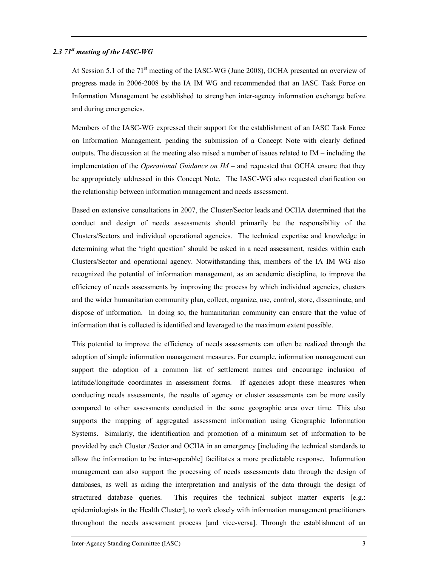#### 2.3  $71^{st}$  meeting of the IASC-WG

At Session 5.1 of the 71<sup>st</sup> meeting of the IASC-WG (June 2008), OCHA presented an overview of progress made in 2006-2008 by the IA IM WG and recommended that an IASC Task Force on Information Management be established to strengthen inter-agency information exchange before and during emergencies.

Members of the IASC-WG expressed their support for the establishment of an IASC Task Force on Information Management, pending the submission of a Concept Note with clearly defined outputs. The discussion at the meeting also raised a number of issues related to  $IM$  – including the implementation of the *Operational Guidance on IM* – and requested that OCHA ensure that they be appropriately addressed in this Concept Note. The IASC-WG also requested clarification on the relationship between information management and needs assessment.

Based on extensive consultations in 2007, the Cluster/Sector leads and OCHA determined that the conduct and design of needs assessments should primarily be the responsibility of the Clusters/Sectors and individual operational agencies. The technical expertise and knowledge in determining what the 'right question' should be asked in a need assessment, resides within each Clusters/Sector and operational agency. Notwithstanding this, members of the IA IM WG also recognized the potential of information management, as an academic discipline, to improve the efficiency of needs assessments by improving the process by which individual agencies, clusters and the wider humanitarian community plan, collect, organize, use, control, store, disseminate, and dispose of information. In doing so, the humanitarian community can ensure that the value of information that is collected is identified and leveraged to the maximum extent possible.

This potential to improve the efficiency of needs assessments can often be realized through the adoption of simple information management measures. For example, information management can support the adoption of a common list of settlement names and encourage inclusion of latitude/longitude coordinates in assessment forms. If agencies adopt these measures when conducting needs assessments, the results of agency or cluster assessments can be more easily compared to other assessments conducted in the same geographic area over time. This also supports the mapping of aggregated assessment information using Geographic Information Systems. Similarly, the identification and promotion of a minimum set of information to be provided by each Cluster /Sector and OCHA in an emergency [including the technical standards to allow the information to be inter-operable] facilitates a more predictable response. Information management can also support the processing of needs assessments data through the design of databases, as well as aiding the interpretation and analysis of the data through the design of structured database queries. This requires the technical subject matter experts [e.g.: epidemiologists in the Health Cluster], to work closely with information management practitioners throughout the needs assessment process [and vice-versa]. Through the establishment of an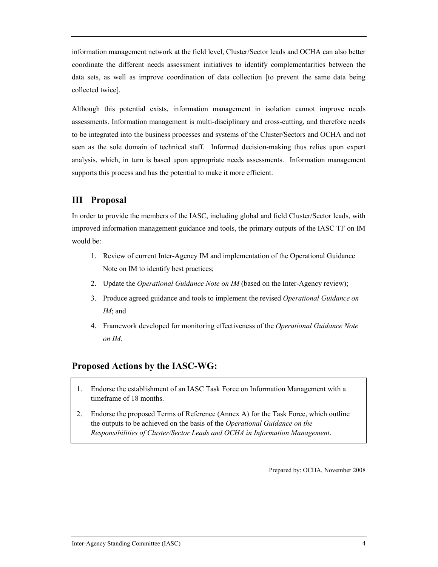information management network at the field level, Cluster/Sector leads and OCHA can also better coordinate the different needs assessment initiatives to identify complementarities between the data sets, as well as improve coordination of data collection [to prevent the same data being collected twice].

Although this potential exists, information management in isolation cannot improve needs assessments. Information management is multi-disciplinary and cross-cutting, and therefore needs to be integrated into the business processes and systems of the Cluster/Sectors and OCHA and not seen as the sole domain of technical staff. Informed decision-making thus relies upon expert analysis, which, in turn is based upon appropriate needs assessments. Information management supports this process and has the potential to make it more efficient.

## III Proposal

In order to provide the members of the IASC, including global and field Cluster/Sector leads, with improved information management guidance and tools, the primary outputs of the IASC TF on IM would be:

- 1. Review of current Inter-Agency IM and implementation of the Operational Guidance Note on IM to identify best practices;
- 2. Update the *Operational Guidance Note on IM* (based on the Inter-Agency review);
- 3. Produce agreed guidance and tools to implement the revised Operational Guidance on IM; and
- 4. Framework developed for monitoring effectiveness of the Operational Guidance Note on IM.

## Proposed Actions by the IASC-WG:

- 1. Endorse the establishment of an IASC Task Force on Information Management with a timeframe of 18 months.
- 2. Endorse the proposed Terms of Reference (Annex A) for the Task Force, which outline the outputs to be achieved on the basis of the Operational Guidance on the Responsibilities of Cluster/Sector Leads and OCHA in Information Management.

Prepared by: OCHA, November 2008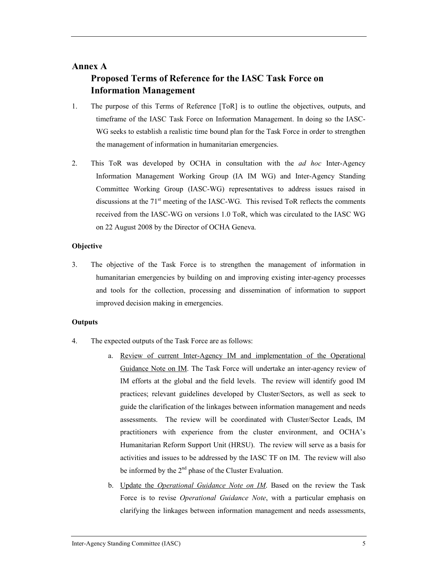## Annex A

## Proposed Terms of Reference for the IASC Task Force on Information Management

- 1. The purpose of this Terms of Reference [ToR] is to outline the objectives, outputs, and timeframe of the IASC Task Force on Information Management. In doing so the IASC-WG seeks to establish a realistic time bound plan for the Task Force in order to strengthen the management of information in humanitarian emergencies.
- 2. This ToR was developed by OCHA in consultation with the *ad hoc* Inter-Agency Information Management Working Group (IA IM WG) and Inter-Agency Standing Committee Working Group (IASC-WG) representatives to address issues raised in discussions at the  $71<sup>st</sup>$  meeting of the IASC-WG. This revised ToR reflects the comments received from the IASC-WG on versions 1.0 ToR, which was circulated to the IASC WG on 22 August 2008 by the Director of OCHA Geneva.

### **Objective**

3. The objective of the Task Force is to strengthen the management of information in humanitarian emergencies by building on and improving existing inter-agency processes and tools for the collection, processing and dissemination of information to support improved decision making in emergencies.

### **Outputs**

- 4. The expected outputs of the Task Force are as follows:
	- a. Review of current Inter-Agency IM and implementation of the Operational Guidance Note on IM. The Task Force will undertake an inter-agency review of IM efforts at the global and the field levels. The review will identify good IM practices; relevant guidelines developed by Cluster/Sectors, as well as seek to guide the clarification of the linkages between information management and needs assessments. The review will be coordinated with Cluster/Sector Leads, IM practitioners with experience from the cluster environment, and OCHA's Humanitarian Reform Support Unit (HRSU). The review will serve as a basis for activities and issues to be addressed by the IASC TF on IM. The review will also be informed by the 2<sup>nd</sup> phase of the Cluster Evaluation.
	- b. Update the Operational Guidance Note on IM. Based on the review the Task Force is to revise Operational Guidance Note, with a particular emphasis on clarifying the linkages between information management and needs assessments,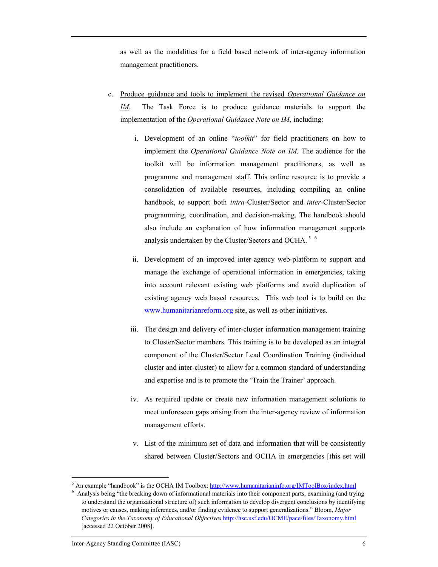as well as the modalities for a field based network of inter-agency information management practitioners.

- c. Produce guidance and tools to implement the revised Operational Guidance on IM. The Task Force is to produce guidance materials to support the implementation of the *Operational Guidance Note on IM*, including:
	- i. Development of an online "toolkit" for field practitioners on how to implement the Operational Guidance Note on IM. The audience for the toolkit will be information management practitioners, as well as programme and management staff. This online resource is to provide a consolidation of available resources, including compiling an online handbook, to support both intra-Cluster/Sector and inter-Cluster/Sector programming, coordination, and decision-making. The handbook should also include an explanation of how information management supports analysis undertaken by the Cluster/Sectors and OCHA.<sup>56</sup>
	- ii. Development of an improved inter-agency web-platform to support and manage the exchange of operational information in emergencies, taking into account relevant existing web platforms and avoid duplication of existing agency web based resources. This web tool is to build on the www.humanitarianreform.org site, as well as other initiatives.
	- iii. The design and delivery of inter-cluster information management training to Cluster/Sector members. This training is to be developed as an integral component of the Cluster/Sector Lead Coordination Training (individual cluster and inter-cluster) to allow for a common standard of understanding and expertise and is to promote the 'Train the Trainer' approach.
	- iv. As required update or create new information management solutions to meet unforeseen gaps arising from the inter-agency review of information management efforts.
	- v. List of the minimum set of data and information that will be consistently shared between Cluster/Sectors and OCHA in emergencies [this set will

-

<sup>&</sup>lt;sup>5</sup> An example "handbook" is the OCHA IM Toolbox: http://www.humanitarianinfo.org/IMToolBox/index.html

<sup>6</sup> Analysis being "the breaking down of informational materials into their component parts, examining (and trying to understand the organizational structure of) such information to develop divergent conclusions by identifying motives or causes, making inferences, and/or finding evidence to support generalizations." Bloom, Major Categories in the Taxonomy of Educational Objectives http://hsc.usf.edu/OCME/pace/files/Taxonomy.html [accessed 22 October 2008].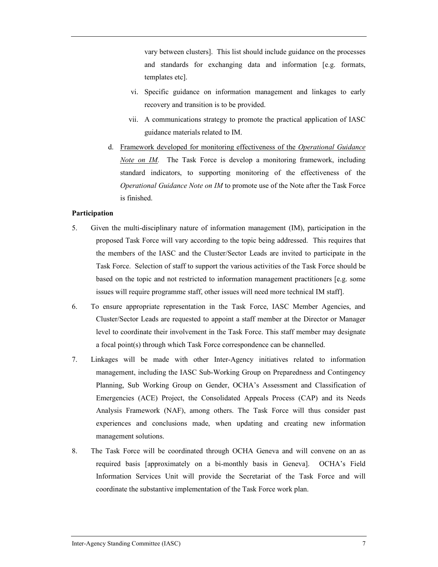vary between clusters]. This list should include guidance on the processes and standards for exchanging data and information [e.g. formats, templates etc].

- vi. Specific guidance on information management and linkages to early recovery and transition is to be provided.
- vii. A communications strategy to promote the practical application of IASC guidance materials related to IM.
- d. Framework developed for monitoring effectiveness of the Operational Guidance Note on IM. The Task Force is develop a monitoring framework, including standard indicators, to supporting monitoring of the effectiveness of the Operational Guidance Note on IM to promote use of the Note after the Task Force is finished.

#### Participation

- 5. Given the multi-disciplinary nature of information management (IM), participation in the proposed Task Force will vary according to the topic being addressed. This requires that the members of the IASC and the Cluster/Sector Leads are invited to participate in the Task Force. Selection of staff to support the various activities of the Task Force should be based on the topic and not restricted to information management practitioners [e.g. some issues will require programme staff, other issues will need more technical IM staff].
- 6. To ensure appropriate representation in the Task Force, IASC Member Agencies, and Cluster/Sector Leads are requested to appoint a staff member at the Director or Manager level to coordinate their involvement in the Task Force. This staff member may designate a focal point(s) through which Task Force correspondence can be channelled.
- 7. Linkages will be made with other Inter-Agency initiatives related to information management, including the IASC Sub-Working Group on Preparedness and Contingency Planning, Sub Working Group on Gender, OCHA's Assessment and Classification of Emergencies (ACE) Project, the Consolidated Appeals Process (CAP) and its Needs Analysis Framework (NAF), among others. The Task Force will thus consider past experiences and conclusions made, when updating and creating new information management solutions.
- 8. The Task Force will be coordinated through OCHA Geneva and will convene on an as required basis [approximately on a bi-monthly basis in Geneva]. OCHA's Field Information Services Unit will provide the Secretariat of the Task Force and will coordinate the substantive implementation of the Task Force work plan.